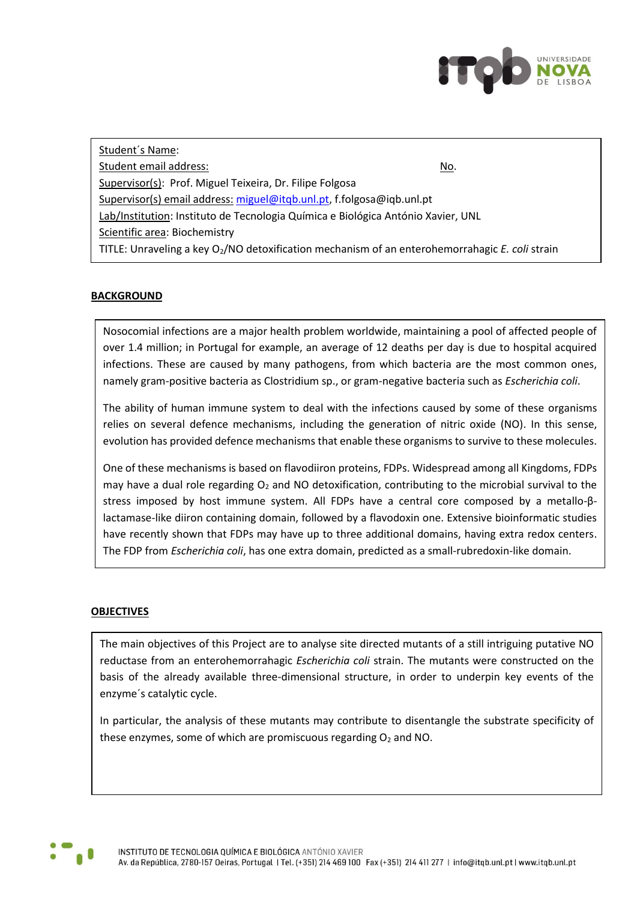

Student´s Name: Student email address: No. Supervisor(s): Prof. Miguel Teixeira, Dr. Filipe Folgosa Supervisor(s) email address: [miguel@itqb.unl.pt,](mailto:miguel@itqb.unl.pt) f.folgosa@iqb.unl.pt Lab/Institution: Instituto de Tecnologia Química e Biológica António Xavier, UNL Scientific area: Biochemistry TITLE: Unraveling a key O2/NO detoxification mechanism of an enterohemorrahagic *E. coli* strain

## **BACKGROUND**

Nosocomial infections are a major health problem worldwide, maintaining a pool of affected people of over 1.4 million; in Portugal for example, an average of 12 deaths per day is due to hospital acquired infections. These are caused by many pathogens, from which bacteria are the most common ones, namely gram-positive bacteria as Clostridium sp., or gram-negative bacteria such as *Escherichia coli*.

The ability of human immune system to deal with the infections caused by some of these organisms relies on several defence mechanisms, including the generation of nitric oxide (NO). In this sense, evolution has provided defence mechanisms that enable these organisms to survive to these molecules.

One of these mechanisms is based on flavodiiron proteins, FDPs. Widespread among all Kingdoms, FDPs may have a dual role regarding  $O<sub>2</sub>$  and NO detoxification, contributing to the microbial survival to the stress imposed by host immune system. All FDPs have a central core composed by a metallo-βlactamase-like diiron containing domain, followed by a flavodoxin one. Extensive bioinformatic studies have recently shown that FDPs may have up to three additional domains, having extra redox centers. The FDP from *Escherichia coli*, has one extra domain, predicted as a small-rubredoxin-like domain.

## **OBJECTIVES**

The main objectives of this Project are to analyse site directed mutants of a still intriguing putative NO reductase from an enterohemorrahagic *Escherichia coli* strain. The mutants were constructed on the basis of the already available three-dimensional structure, in order to underpin key events of the enzyme´s catalytic cycle.

In particular, the analysis of these mutants may contribute to disentangle the substrate specificity of these enzymes, some of which are promiscuous regarding  $O<sub>2</sub>$  and NO.